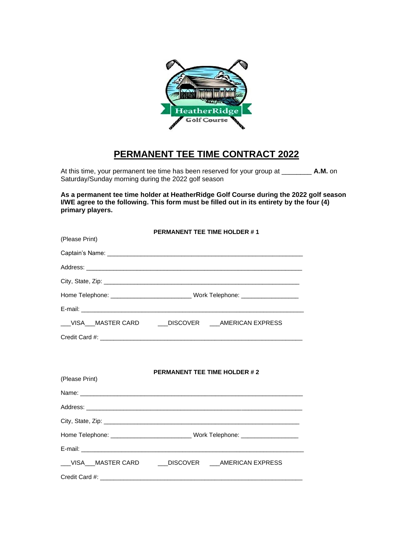

# **PERMANENT TEE TIME CONTRACT 2022**

At this time, your permanent tee time has been reserved for your group at \_\_\_\_\_\_\_\_ **A.M.** on Saturday/Sunday morning during the 2022 golf season

**As a permanent tee time holder at HeatherRidge Golf Course during the 2022 golf season I/WE agree to the following. This form must be filled out in its entirety by the four (4) primary players.**

|                | <b>PERMANENT TEE TIME HOLDER #1</b> |  |  |  |
|----------------|-------------------------------------|--|--|--|
| (Please Print) |                                     |  |  |  |
|                |                                     |  |  |  |
|                |                                     |  |  |  |
|                |                                     |  |  |  |
|                |                                     |  |  |  |
|                |                                     |  |  |  |
|                |                                     |  |  |  |
|                |                                     |  |  |  |
|                |                                     |  |  |  |
|                |                                     |  |  |  |
| (Please Print) | <b>PERMANENT TEE TIME HOLDER #2</b> |  |  |  |
|                |                                     |  |  |  |
|                |                                     |  |  |  |
|                |                                     |  |  |  |
|                |                                     |  |  |  |
|                |                                     |  |  |  |
|                |                                     |  |  |  |
|                |                                     |  |  |  |
|                |                                     |  |  |  |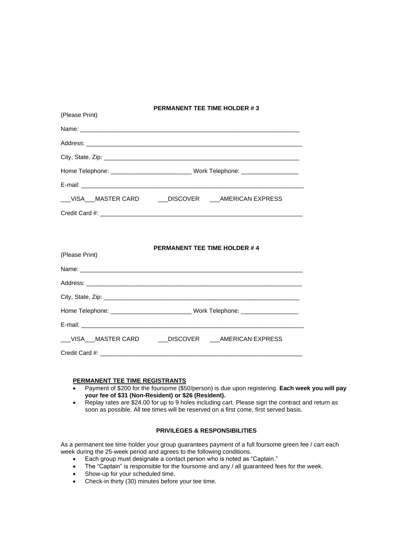## **PERMANENT TEE TIME HOLDER # 3**

| __VISA__MASTER CARD ____DISCOVER ___AMERICAN EXPRESS |  |  |  |
|------------------------------------------------------|--|--|--|
|                                                      |  |  |  |

## **PERMANENT TEE TIME HOLDER # 4**

| (Please Print) |                                                      |  |  |  |
|----------------|------------------------------------------------------|--|--|--|
|                |                                                      |  |  |  |
|                |                                                      |  |  |  |
|                |                                                      |  |  |  |
|                |                                                      |  |  |  |
|                |                                                      |  |  |  |
|                | __VISA__MASTER CARD ____DISCOVER ___AMERICAN EXPRESS |  |  |  |
|                |                                                      |  |  |  |

## **PERMANENT TEE TIME REGISTRANTS**

(Please Print)

- Payment of \$200 for the foursome (\$50/person) is due upon registering. **Each week you will pay your fee of \$31 (Non-Resident) or \$26 (Resident).**
- Replay rates are \$24.00 for up to 9 holes including cart. Please sign the contract and return as soon as possible. All tee times will be reserved on a first come, first served basis.

## **PRIVILEGES & RESPONSIBILITIES**

As a permanent tee time holder your group guarantees payment of a full foursome green fee / cart each week during the 25-week period and agrees to the following conditions.

- Each group must designate a contact person who is noted as "Captain."
- The "Captain" is responsible for the foursome and any / all guaranteed fees for the week.
- Show-up for your scheduled time.
- Check-in thirty (30) minutes before your tee time.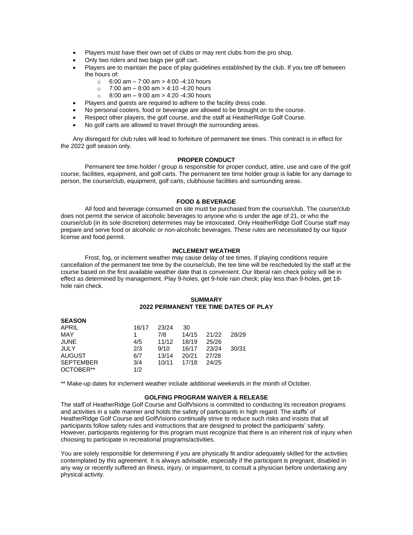- Players must have their own set of clubs or may rent clubs from the pro shop.
- Only two riders and two bags per golf cart.
- Players are to maintain the pace of play guidelines established by the club. If you tee off between the hours of:
	- $\circ$  6:00 am 7:00 am > 4:00 -4:10 hours
	- $\circ$  7:00 am 8:00 am > 4:10 -4:20 hours
	- $\circ$  8:00 am 9:00 am > 4:20 -4:30 hours
- Players and guests are required to adhere to the facility dress code.
- No personal coolers, food or beverage are allowed to be brought on to the course.
- Respect other players, the golf course, and the staff at HeatherRidge Golf Course.
- No golf carts are allowed to travel through the surrounding areas.

Any disregard for club rules will lead to forfeiture of permanent tee times. This contract is in effect for the 2022 golf season only.

## **PROPER CONDUCT**

Permanent tee time holder / group is responsible for proper conduct, attire, use and care of the golf course, facilities, equipment, and golf carts. The permanent tee time holder group is liable for any damage to person, the course/club, equipment, golf carts, clubhouse facilities and surrounding areas.

#### **FOOD & BEVERAGE**

All food and beverage consumed on site must be purchased from the course/club. The course/club does not permit the service of alcoholic beverages to anyone who is under the age of 21, or who the course/club (in its sole discretion) determines may be intoxicated. Only HeatherRidge Golf Course staff may prepare and serve food or alcoholic or non-alcoholic beverages. These rules are necessitated by our liquor license and food permit.

#### **INCLEMENT WEATHER**

Frost, fog, or inclement weather may cause delay of tee times. If playing conditions require cancellation of the permanent tee time by the course/club, the tee time will be rescheduled by the staff at the course based on the first available weather date that is convenient. Our liberal rain check policy will be in effect as determined by management. Play 9-holes, get 9-hole rain check; play less than 9-holes, get 18 hole rain check.

#### **SUMMARY 2022 PERMANENT TEE TIME DATES OF PLAY**

| <b>SEASUN</b>    |       |       |       |       |       |
|------------------|-------|-------|-------|-------|-------|
| APRIL            | 16/17 | 23/24 | 30    |       |       |
| MAY              |       | 7/8   | 14/15 | 21/22 | 28/29 |
| <b>JUNE</b>      | 4/5   | 11/12 | 18/19 | 25/26 |       |
| JULY             | 2/3   | 9/10  | 16/17 | 23/24 | 30/31 |
| <b>AUGUST</b>    | 6/7   | 13/14 | 20/21 | 27/28 |       |
| <b>SEPTEMBER</b> | 3/4   | 10/11 | 17/18 | 24/25 |       |
| OCTOBER**        | 1/2   |       |       |       |       |

**SEASON**

\*\* Make-up dates for inclement weather include additional weekends in the month of October.

## **GOLFING PROGRAM WAIVER & RELEASE**

The staff of HeatherRidge Golf Course and GolfVisions is committed to conducting its recreation programs and activities in a safe manner and holds the safety of participants in high regard. The staffs' of HeatherRidge Golf Course and GolfVisions continually strive to reduce such risks and insists that all participants follow safety rules and instructions that are designed to protect the participants' safety. However, participants registering for this program must recognize that there is an inherent risk of injury when choosing to participate in recreational programs/activities.

You are solely responsible for determining if you are physically fit and/or adequately skilled for the activities contemplated by this agreement. It is always advisable, especially if the participant is pregnant, disabled in any way or recently suffered an illness, injury, or impairment, to consult a physician before undertaking any physical activity.